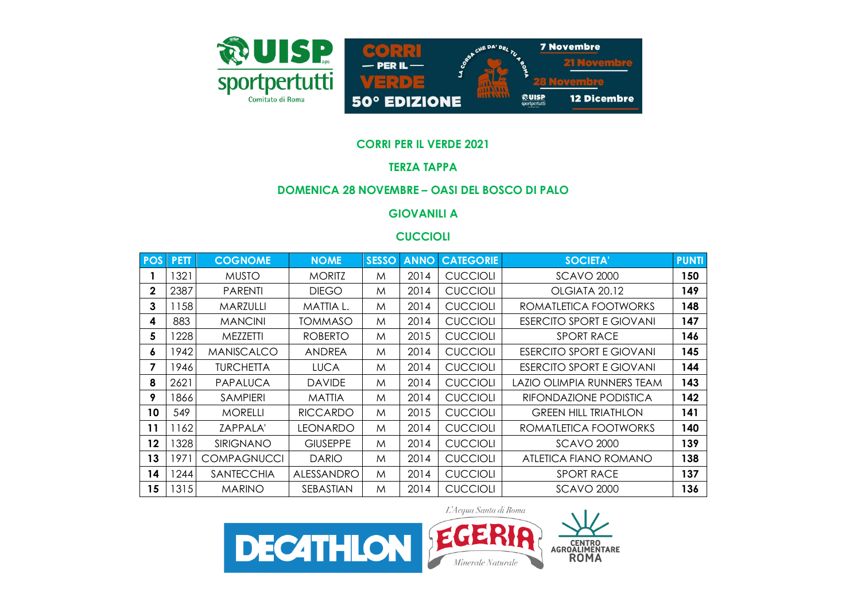

### **CORRI PER IL VERDE 2021**

### **TERZA TAPPA**

### **DOMENICA 28 NOVEMBRE – OASI DEL BOSCO DI PALO**

## **GIOVANILI A**

## **CUCCIOLI**

| <b>POS</b> | PETT <sub></sub> | <b>COGNOME</b>     | <b>NOME</b>     | <b>SESSO</b> | <b>ANNO</b> | <b>CATEGORIE</b> | <b>SOCIETA'</b>                 | <b>PUNTI</b> |
|------------|------------------|--------------------|-----------------|--------------|-------------|------------------|---------------------------------|--------------|
|            | 1321             | <b>MUSTO</b>       | <b>MORITZ</b>   | M            | 2014        | <b>CUCCIOLI</b>  | <b>SCAVO 2000</b>               | 150          |
| 2          | 2387             | <b>PARENTI</b>     | <b>DIEGO</b>    | M            | 2014        | <b>CUCCIOLI</b>  | OLGIATA 20.12                   | 149          |
| 3          | 1158             | MARZULLI           | MATTIA L.       | M            | 2014        | <b>CUCCIOLI</b>  | ROMATLETICA FOOTWORKS           | 148          |
| 4          | 883              | <b>MANCINI</b>     | TOMMASO         | M            | 2014        | <b>CUCCIOLI</b>  | <b>ESERCITO SPORT E GIOVANI</b> | 147          |
| 5          | 1228             | MEZZETTI           | <b>ROBERTO</b>  | M            | 2015        | <b>CUCCIOLI</b>  | <b>SPORT RACE</b>               | 146          |
| 6          | 1942             | <b>MANISCALCO</b>  | <b>ANDREA</b>   | M            | 2014        | <b>CUCCIOLI</b>  | <b>ESERCITO SPORT E GIOVANI</b> | 145          |
| 7          | 1946             | <b>TURCHETTA</b>   | <b>LUCA</b>     | M            | 2014        | <b>CUCCIOLI</b>  | <b>ESERCITO SPORT E GIOVANI</b> | 144          |
| 8          | 2621             | PAPALUCA           | <b>DAVIDE</b>   | M            | 2014        | <b>CUCCIOLI</b>  | LAZIO OLIMPIA RUNNERS TEAM      | 143          |
| 9          | 1866             | <b>SAMPIERI</b>    | <b>MATTIA</b>   | M            | 2014        | <b>CUCCIOLI</b>  | RIFONDAZIONE PODISTICA          | 142          |
| 10         | 549              | <b>MORELLI</b>     | <b>RICCARDO</b> | M            | 2015        | <b>CUCCIOLI</b>  | <b>GREEN HILL TRIATHLON</b>     | 141          |
| 11         | 1162             | ZAPPALA'           | <b>LEONARDO</b> | M            | 2014        | <b>CUCCIOLI</b>  | ROMATLETICA FOOTWORKS           | 140          |
| 12         | 1328             | <b>SIRIGNANO</b>   | <b>GIUSEPPE</b> | M            | 2014        | <b>CUCCIOLI</b>  | <b>SCAVO 2000</b>               | 139          |
| 13         | 1971             | <b>COMPAGNUCCI</b> | <b>DARIO</b>    | M            | 2014        | <b>CUCCIOLI</b>  | ATLETICA FIANO ROMANO           | 138          |
| 14         | 1244             | SANTECCHIA         | ALESSANDRO      | M            | 2014        | <b>CUCCIOLI</b>  | <b>SPORT RACE</b>               | 137          |
| 15         | 1315             | <b>MARINO</b>      | SEBASTIAN       | M            | 2014        | <b>CUCCIOLI</b>  | <b>SCAVO 2000</b>               | 136          |

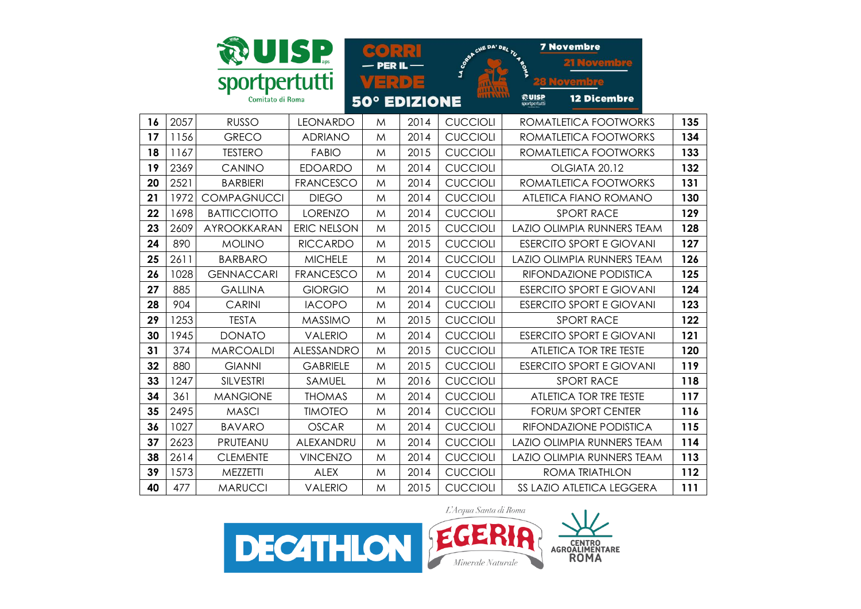|    |      | <b>UISP</b>         |                  | PER IL |                     | <b>SORAN CINE DAY DEL 70 M</b> | <b>7 Novembre</b>                            |     |
|----|------|---------------------|------------------|--------|---------------------|--------------------------------|----------------------------------------------|-----|
|    |      | sportpertutti       |                  |        | 다리이드                |                                |                                              |     |
|    |      | Comitato di Roma    |                  |        | <b>50° EDIZIONE</b> |                                | @UISP<br><b>12 Dicembre</b><br>sportpertutti |     |
| 16 | 2057 | <b>RUSSO</b>        | <b>LEONARDO</b>  | M      | 2014                | <b>CUCCIOLI</b>                | ROMATLETICA FOOTWORKS                        | 135 |
| 17 | 1156 | <b>GRECO</b>        | <b>ADRIANO</b>   | M      | 2014                | <b>CUCCIOLI</b>                | ROMATLETICA FOOTWORKS                        | 134 |
| 18 | 1167 | <b>TESTERO</b>      | <b>FABIO</b>     | M      | 2015                | <b>CUCCIOLI</b>                | ROMATLETICA FOOTWORKS                        | 133 |
| 19 | 2369 | CANINO              | <b>EDOARDO</b>   | M      | 2014                | <b>CUCCIOLI</b>                | OLGIATA 20.12                                | 132 |
| 20 | 2521 | <b>BARBIERI</b>     | <b>FRANCESCO</b> | M      | 2014                | <b>CUCCIOLI</b>                | ROMATLETICA FOOTWORKS                        | 131 |
| 21 | 1972 | <b>COMPAGNUCCI</b>  | <b>DIEGO</b>     | M      | 2014                | <b>CUCCIOLI</b>                | ATLETICA FIANO ROMANO                        | 130 |
| 22 | 1698 | <b>BATTICCIOTTO</b> | <b>LORENZO</b>   | M      | 2014                | <b>CUCCIOLI</b>                | <b>SPORT RACE</b>                            | 129 |
| 23 | 2609 | AYROOKKARAN         | ERIC NELSON      | M      | 2015                | <b>CUCCIOLI</b>                | LAZIO OLIMPIA RUNNERS TEAM                   | 128 |
| 24 | 890  | <b>MOLINO</b>       | <b>RICCARDO</b>  | M      | 2015                | <b>CUCCIOLI</b>                | <b>ESERCITO SPORT E GIOVANI</b>              | 127 |
| 25 | 2611 | <b>BARBARO</b>      | <b>MICHELE</b>   | M      | 2014                | <b>CUCCIOLI</b>                | <b>LAZIO OLIMPIA RUNNERS TEAM</b>            | 126 |
| 26 | 1028 | <b>GENNACCARI</b>   | <b>FRANCESCO</b> | M      | 2014                | <b>CUCCIOLI</b>                | RIFONDAZIONE PODISTICA                       | 125 |
| 27 | 885  | <b>GALLINA</b>      | <b>GIORGIO</b>   | M      | 2014                | <b>CUCCIOLI</b>                | <b>ESERCITO SPORT E GIOVANI</b>              | 124 |
| 28 | 904  | <b>CARINI</b>       | <b>IACOPO</b>    | M      | 2014                | <b>CUCCIOLI</b>                | <b>ESERCITO SPORT E GIOVANI</b>              | 123 |
| 29 | 1253 | <b>TESTA</b>        | <b>MASSIMO</b>   | M      | 2015                | <b>CUCCIOLI</b>                | <b>SPORT RACE</b>                            | 122 |
| 30 | 1945 | <b>DONATO</b>       | <b>VALERIO</b>   | M      | 2014                | <b>CUCCIOLI</b>                | <b>ESERCITO SPORT E GIOVANI</b>              | 121 |
| 31 | 374  | <b>MARCOALDI</b>    | ALESSANDRO       | M      | 2015                | <b>CUCCIOLI</b>                | <b>ATLETICA TOR TRE TESTE</b>                | 120 |
| 32 | 880  | <b>GIANNI</b>       | <b>GABRIELE</b>  | M      | 2015                | <b>CUCCIOLI</b>                | <b>ESERCITO SPORT E GIOVANI</b>              | 119 |
| 33 | 1247 | <b>SILVESTRI</b>    | SAMUEL           | M      | 2016                | <b>CUCCIOLI</b>                | <b>SPORT RACE</b>                            | 118 |
| 34 | 361  | <b>MANGIONE</b>     | <b>THOMAS</b>    | M      | 2014                | <b>CUCCIOLI</b>                | ATLETICA TOR TRE TESTE                       | 117 |
| 35 | 2495 | <b>MASCI</b>        | <b>TIMOTEO</b>   | M      | 2014                | <b>CUCCIOLI</b>                | <b>FORUM SPORT CENTER</b>                    | 116 |
| 36 | 1027 | <b>BAVARO</b>       | <b>OSCAR</b>     | M      | 2014                | <b>CUCCIOLI</b>                | RIFONDAZIONE PODISTICA                       | 115 |
| 37 | 2623 | PRUTEANU            | ALEXANDRU        | M      | 2014                | <b>CUCCIOLI</b>                | LAZIO OLIMPIA RUNNERS TEAM                   | 114 |
| 38 | 2614 | <b>CLEMENTE</b>     | <b>VINCENZO</b>  | M      | 2014                | <b>CUCCIOLI</b>                | LAZIO OLIMPIA RUNNERS TEAM                   | 113 |
| 39 | 1573 | MEZZETTI            | <b>ALEX</b>      | M      | 2014                | <b>CUCCIOLI</b>                | <b>ROMA TRIATHLON</b>                        | 112 |
| 40 | 477  | <b>MARUCCI</b>      | <b>VALERIO</b>   | M      | 2015                | <b>CUCCIOLI</b>                | SS LAZIO ATLETICA LEGGERA                    | 111 |

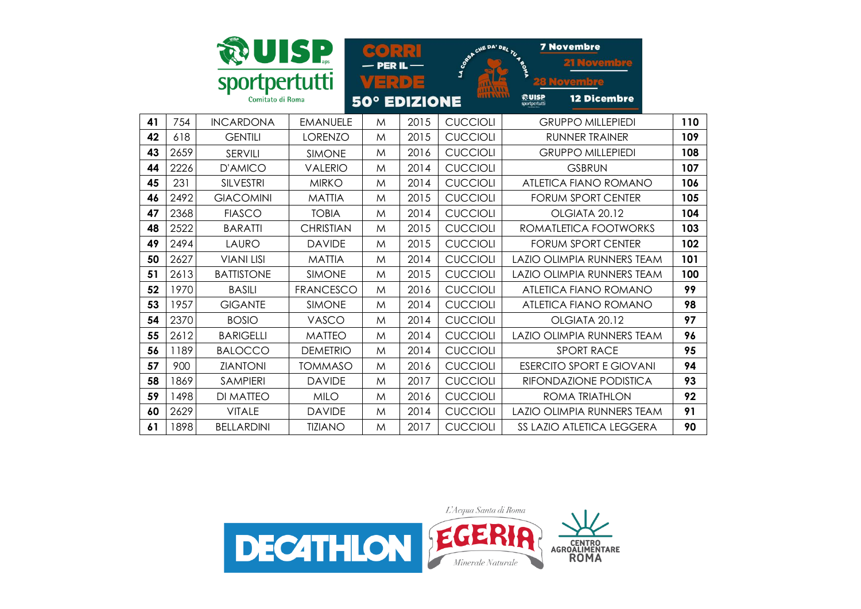|    |      | sportpertutti<br>Comitato di Roma | UISP             | $\infty$ $\bullet$ )<br>- PER IL<br>$\exists$ : $\cup$ | $\left( \frac{1}{2} \right)$<br><b>50° EDIZIONE</b> | LA CO <sub>RO</sub> N | <b>7 Novembre</b><br>CHE DA' DEL TU 4 TO<br><u>Novembre</u><br>熱UISP<br><b>12 Dicembre</b><br>sportpertutti |     |
|----|------|-----------------------------------|------------------|--------------------------------------------------------|-----------------------------------------------------|-----------------------|-------------------------------------------------------------------------------------------------------------|-----|
| 41 | 754  | <b>INCARDONA</b>                  | <b>EMANUELE</b>  | M                                                      | 2015                                                | <b>CUCCIOLI</b>       | <b>GRUPPO MILLEPIEDI</b>                                                                                    | 110 |
| 42 | 618  | <b>GENTILI</b>                    | <b>LORENZO</b>   | M                                                      | 2015                                                | <b>CUCCIOLI</b>       | <b>RUNNER TRAINER</b>                                                                                       | 109 |
| 43 | 2659 | SERVILI                           | <b>SIMONE</b>    | M                                                      | 2016                                                | <b>CUCCIOLI</b>       | <b>GRUPPO MILLEPIEDI</b>                                                                                    | 108 |
| 44 | 2226 | <b>D'AMICO</b>                    | <b>VALERIO</b>   | M                                                      | 2014                                                | <b>CUCCIOLI</b>       | <b>GSBRUN</b>                                                                                               | 107 |
| 45 | 231  | <b>SILVESTRI</b>                  | <b>MIRKO</b>     | M                                                      | 2014                                                | <b>CUCCIOLI</b>       | <b>ATLETICA FIANO ROMANO</b>                                                                                | 106 |
| 46 | 2492 | <b>GIACOMINI</b>                  | <b>MATTIA</b>    | M                                                      | 2015                                                | <b>CUCCIOLI</b>       | <b>FORUM SPORT CENTER</b>                                                                                   | 105 |
| 47 | 2368 | <b>FIASCO</b>                     | <b>TOBIA</b>     | M                                                      | 2014                                                | <b>CUCCIOLI</b>       | OLGIATA 20.12                                                                                               | 104 |
| 48 | 2522 | <b>BARATTI</b>                    | <b>CHRISTIAN</b> | M                                                      | 2015                                                | <b>CUCCIOLI</b>       | ROMATLETICA FOOTWORKS                                                                                       | 103 |
| 49 | 2494 | LAURO                             | <b>DAVIDE</b>    | M                                                      | 2015                                                | <b>CUCCIOLI</b>       | <b>FORUM SPORT CENTER</b>                                                                                   | 102 |
| 50 | 2627 | <b>VIANI LISI</b>                 | <b>MATTIA</b>    | M                                                      | 2014                                                | <b>CUCCIOLI</b>       | <b>LAZIO OLIMPIA RUNNERS TEAM</b>                                                                           | 101 |
| 51 | 2613 | <b>BATTISTONE</b>                 | <b>SIMONE</b>    | M                                                      | 2015                                                | <b>CUCCIOLI</b>       | LAZIO OLIMPIA RUNNERS TEAM                                                                                  | 100 |
| 52 | 1970 | <b>BASILI</b>                     | <b>FRANCESCO</b> | M                                                      | 2016                                                | <b>CUCCIOLI</b>       | <b>ATLETICA FIANO ROMANO</b>                                                                                | 99  |
| 53 | 1957 | <b>GIGANTE</b>                    | <b>SIMONE</b>    | M                                                      | 2014                                                | <b>CUCCIOLI</b>       | ATLETICA FIANO ROMANO                                                                                       | 98  |
| 54 | 2370 | <b>BOSIO</b>                      | VASCO            | M                                                      | 2014                                                | <b>CUCCIOLI</b>       | OLGIATA 20.12                                                                                               | 97  |
| 55 | 2612 | <b>BARIGELLI</b>                  | <b>MATTEO</b>    | M                                                      | 2014                                                | <b>CUCCIOLI</b>       | <b>LAZIO OLIMPIA RUNNERS TEAM</b>                                                                           | 96  |
| 56 | 1189 | <b>BALOCCO</b>                    | <b>DEMETRIO</b>  | M                                                      | 2014                                                | <b>CUCCIOLI</b>       | <b>SPORT RACE</b>                                                                                           | 95  |
| 57 | 900  | <b>ZIANTONI</b>                   | <b>TOMMASO</b>   | M                                                      | 2016                                                | <b>CUCCIOLI</b>       | <b>ESERCITO SPORT E GIOVANI</b>                                                                             | 94  |
| 58 | 1869 | <b>SAMPIERI</b>                   | <b>DAVIDE</b>    | M                                                      | 2017                                                | <b>CUCCIOLI</b>       | RIFONDAZIONE PODISTICA                                                                                      | 93  |
| 59 | 1498 | <b>DI MATTEO</b>                  | <b>MILO</b>      | M                                                      | 2016                                                | <b>CUCCIOLI</b>       | ROMA TRIATHLON                                                                                              | 92  |
| 60 | 2629 | <b>VITALE</b>                     | <b>DAVIDE</b>    | M                                                      | 2014                                                | <b>CUCCIOLI</b>       | <b>LAZIO OLIMPIA RUNNERS TEAM</b>                                                                           | 91  |
| 61 | 1898 | <b>BELLARDINI</b>                 | <b>TIZIANO</b>   | M                                                      | 2017                                                | <b>CUCCIOLI</b>       | <b>SS LAZIO ATLETICA LEGGERA</b>                                                                            | 90  |

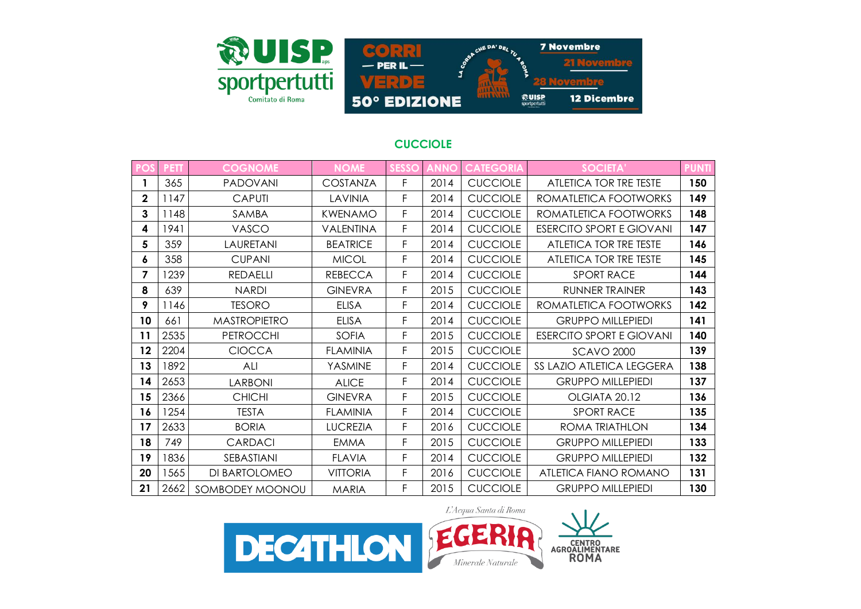

## **CUCCIOLE**

loven

**12 Dicembre** 

emple

| PO!         | <b>PETT</b> | <b>COGNOME</b>      | <b>NOME</b>     | <b>SESSO</b> | <b>ANNO</b> | <b>CATEGORIA</b> | SOCIETA'                        | <b>PUNTI</b> |
|-------------|-------------|---------------------|-----------------|--------------|-------------|------------------|---------------------------------|--------------|
|             | 365         | <b>PADOVANI</b>     | <b>COSTANZA</b> | F            | 2014        | <b>CUCCIOLE</b>  | ATLETICA TOR TRE TESTE          | 150          |
| $\mathbf 2$ | 1147        | <b>CAPUTI</b>       | LAVINIA         | F            | 2014        | <b>CUCCIOLE</b>  | ROMATLETICA FOOTWORKS           | 149          |
| 3           | 1148        | SAMBA               | <b>KWENAMO</b>  | F.           | 2014        | <b>CUCCIOLE</b>  | ROMATLETICA FOOTWORKS           | 148          |
| 4           | 1941        | VASCO               | VALENTINA       | F.           | 2014        | <b>CUCCIOLE</b>  | <b>ESERCITO SPORT E GIOVANI</b> | 147          |
| 5           | 359         | LAURETANI           | <b>BEATRICE</b> | F            | 2014        | <b>CUCCIOLE</b>  | ATLETICA TOR TRE TESTE          | 146          |
| 6           | 358         | <b>CUPANI</b>       | <b>MICOL</b>    | F.           | 2014        | <b>CUCCIOLE</b>  | ATLETICA TOR TRE TESTE          | 145          |
| 7           | 1239        | <b>REDAELLI</b>     | <b>REBECCA</b>  | F.           | 2014        | <b>CUCCIOLE</b>  | <b>SPORT RACE</b>               | 144          |
| 8           | 639         | <b>NARDI</b>        | <b>GINEVRA</b>  | F            | 2015        | <b>CUCCIOLE</b>  | <b>RUNNER TRAINER</b>           | 143          |
| 9           | 1146        | <b>TESORO</b>       | <b>ELISA</b>    | F            | 2014        | <b>CUCCIOLE</b>  | ROMATLETICA FOOTWORKS           | 142          |
| 10          | 661         | <b>MASTROPIETRO</b> | <b>ELISA</b>    | F            | 2014        | <b>CUCCIOLE</b>  | <b>GRUPPO MILLEPIEDI</b>        | 141          |
| 11          | 2535        | <b>PETROCCHI</b>    | SOFIA           | F            | 2015        | <b>CUCCIOLE</b>  | <b>ESERCITO SPORT E GIOVANI</b> | 140          |
| 12          | 2204        | <b>CIOCCA</b>       | <b>FLAMINIA</b> | F.           | 2015        | <b>CUCCIOLE</b>  | <b>SCAVO 2000</b>               | 139          |
| 13          | 1892        | ALI                 | YASMINE         | F.           | 2014        | <b>CUCCIOLE</b>  | SS LAZIO ATLETICA LEGGERA       | 138          |
| 14          | 2653        | <b>LARBONI</b>      | <b>ALICE</b>    | F            | 2014        | <b>CUCCIOLE</b>  | <b>GRUPPO MILLEPIEDI</b>        | 137          |
| 15          | 2366        | <b>CHICHI</b>       | <b>GINEVRA</b>  | F.           | 2015        | <b>CUCCIOLE</b>  | OLGIATA 20.12                   | 136          |
| 16          | 1254        | <b>TESTA</b>        | <b>FLAMINIA</b> | F            | 2014        | <b>CUCCIOLE</b>  | <b>SPORT RACE</b>               | 135          |
| 17          | 2633        | <b>BORIA</b>        | <b>LUCREZIA</b> | F.           | 2016        | <b>CUCCIOLE</b>  | ROMA TRIATHLON                  | 134          |
| 18          | 749         | <b>CARDACI</b>      | <b>EMMA</b>     | F            | 2015        | <b>CUCCIOLE</b>  | <b>GRUPPO MILLEPIEDI</b>        | 133          |
| 19          | 1836        | SEBASTIANI          | <b>FLAVIA</b>   | F            | 2014        | <b>CUCCIOLE</b>  | <b>GRUPPO MILLEPIEDI</b>        | 132          |
| 20          | 1565        | DI BARTOLOMEO       | <b>VITTORIA</b> | F.           | 2016        | <b>CUCCIOLE</b>  | ATLETICA FIANO ROMANO           | 131          |
| 21          | 2662        | SOMBODEY MOONOU     | <b>MARIA</b>    | F            | 2015        | <b>CUCCIOLE</b>  | <b>GRUPPO MILLEPIEDI</b>        | 130          |

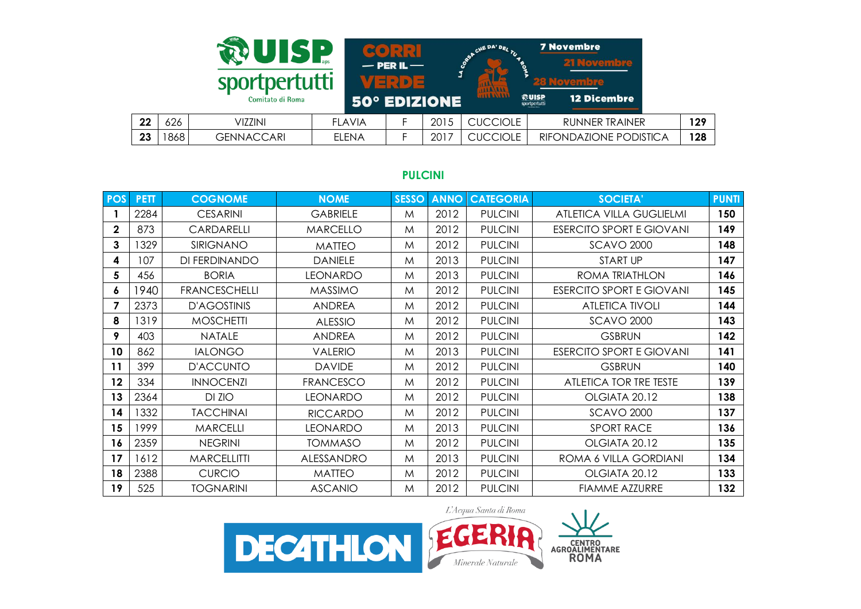|    |     | UISP                              |               | $-$ PER IL $-$               |      | <b>JE DA' DE.</b>                | <b>7 Novembre</b><br>21 Novembre                                 |     |
|----|-----|-----------------------------------|---------------|------------------------------|------|----------------------------------|------------------------------------------------------------------|-----|
|    |     | sportpertutti<br>Comitato di Roma |               | $M =$<br><b>50° EDIZIONE</b> |      | <b>HALAILL</b><br><b>MAGALLE</b> | wovembre<br><b>ROUISP</b><br>sportpertutti<br><b>12 Dicembre</b> |     |
| 22 | 626 | VIZZINI                           | <b>FLAVIA</b> |                              | 2015 | <b>CUCCIOLE</b>                  | <b>RUNNER TRAINER</b>                                            | 129 |
| 23 | 868 | <b>GENNACCARI</b>                 | <b>ELENA</b>  |                              | 2017 | <b>CUCCIOLE</b>                  | RIFONDAZIONE PODISTICA                                           | 128 |

## **PULCINI**

| <b>POS</b>   | <b>PETT</b> | <b>COGNOME</b>       | <b>NOME</b>      | <b>SESSO</b> | <b>ANNO</b> | <b>CATEGORIA</b> | <b>SOCIETA'</b>                 | <b>PUNTI</b> |
|--------------|-------------|----------------------|------------------|--------------|-------------|------------------|---------------------------------|--------------|
|              | 2284        | <b>CESARINI</b>      | <b>GABRIELE</b>  | M            | 2012        | <b>PULCINI</b>   | ATLETICA VILLA GUGLIELMI        | 150          |
| $\mathbf{2}$ | 873         | CARDARELLI           | <b>MARCELLO</b>  | M            | 2012        | <b>PULCINI</b>   | <b>ESERCITO SPORT E GIOVANI</b> | 149          |
| 3            | 1329        | SIRIGNANO            | <b>MATTEO</b>    | M            | 2012        | <b>PULCINI</b>   | <b>SCAVO 2000</b>               | 148          |
| 4            | 107         | DI FERDINANDO        | <b>DANIELE</b>   | M            | 2013        | <b>PULCINI</b>   | <b>START UP</b>                 | 147          |
| 5            | 456         | <b>BORIA</b>         | <b>LEONARDO</b>  | M            | 2013        | <b>PULCINI</b>   | <b>ROMA TRIATHLON</b>           | 146          |
| 6            | 1940        | <b>FRANCESCHELLI</b> | <b>MASSIMO</b>   | M            | 2012        | <b>PULCINI</b>   | <b>ESERCITO SPORT E GIOVANI</b> | 145          |
| 7            | 2373        | <b>D'AGOSTINIS</b>   | <b>ANDREA</b>    | M            | 2012        | <b>PULCINI</b>   | <b>ATLETICA TIVOLI</b>          | 144          |
| 8            | 1319        | <b>MOSCHETTI</b>     | <b>ALESSIO</b>   | M            | 2012        | <b>PULCINI</b>   | <b>SCAVO 2000</b>               | 143          |
| 9            | 403         | <b>NATALE</b>        | <b>ANDREA</b>    | M            | 2012        | <b>PULCINI</b>   | <b>GSBRUN</b>                   | 142          |
| 10           | 862         | <b>IALONGO</b>       | <b>VALERIO</b>   | M            | 2013        | <b>PULCINI</b>   | <b>ESERCITO SPORT E GIOVANI</b> | 141          |
| 11           | 399         | <b>D'ACCUNTO</b>     | <b>DAVIDE</b>    | M            | 2012        | <b>PULCINI</b>   | <b>GSBRUN</b>                   | 140          |
| 12           | 334         | <b>INNOCENZI</b>     | <b>FRANCESCO</b> | M            | 2012        | <b>PULCINI</b>   | ATLETICA TOR TRE TESTE          | 139          |
| 13           | 2364        | DI ZIO               | <b>LEONARDO</b>  | M            | 2012        | <b>PULCINI</b>   | OLGIATA 20.12                   | 138          |
| 14           | 1332        | <b>TACCHINAI</b>     | <b>RICCARDO</b>  | M            | 2012        | <b>PULCINI</b>   | <b>SCAVO 2000</b>               | 137          |
| 15           | 1999        | <b>MARCELLI</b>      | <b>LEONARDO</b>  | M            | 2013        | <b>PULCINI</b>   | <b>SPORT RACE</b>               | 136          |
| 16           | 2359        | <b>NEGRINI</b>       | <b>TOMMASO</b>   | M            | 2012        | <b>PULCINI</b>   | OLGIATA 20.12                   | 135          |
| 17           | 1612        | <b>MARCELLITTI</b>   | ALESSANDRO       | M            | 2013        | <b>PULCINI</b>   | ROMA 6 VILLA GORDIANI           | 134          |
| 18           | 2388        | <b>CURCIO</b>        | <b>MATTEO</b>    | M            | 2012        | <b>PULCINI</b>   | OLGIATA 20.12                   | 133          |
| 19           | 525         | <b>TOGNARINI</b>     | <b>ASCANIO</b>   | M            | 2012        | <b>PULCINI</b>   | <b>FIAMME AZZURRE</b>           | 132          |

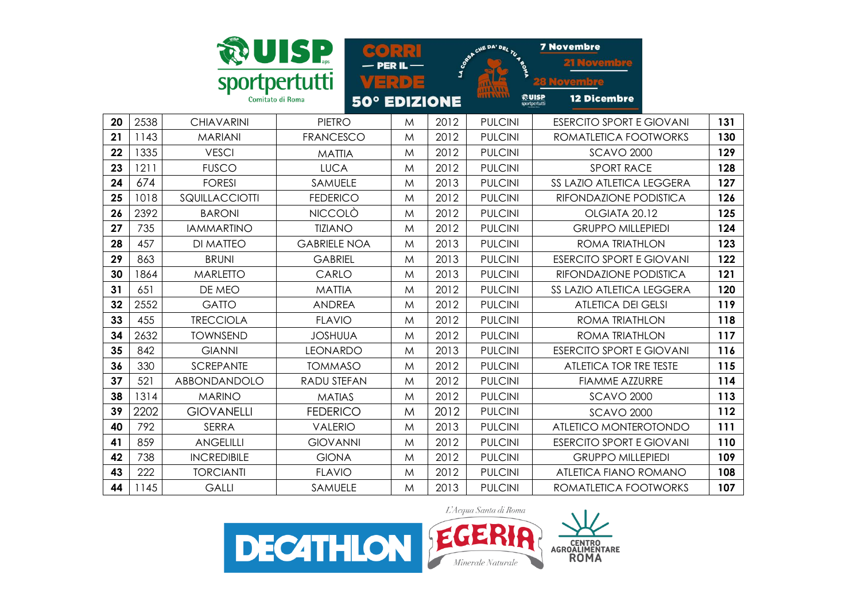|    |      |                    | UISP                                    |       |          | CINE DA' DEL TU 45 | <b>7 Novembre</b>                            |     |
|----|------|--------------------|-----------------------------------------|-------|----------|--------------------|----------------------------------------------|-----|
|    |      |                    |                                         |       | LA CORPY |                    |                                              |     |
|    |      | sportpertutti      |                                         | VERDE |          |                    |                                              |     |
|    |      |                    | Comitato di Roma<br><b>50° EDIZIONE</b> |       |          |                    | ඹUISP<br><b>12 Dicembre</b><br>sportpertutti |     |
| 20 | 2538 | <b>CHIAVARINI</b>  | <b>PIETRO</b>                           | M     | 2012     | <b>PULCINI</b>     | <b>ESERCITO SPORT E GIOVANI</b>              | 131 |
| 21 | 1143 | <b>MARIANI</b>     | <b>FRANCESCO</b>                        | M     | 2012     | <b>PULCINI</b>     | ROMATLETICA FOOTWORKS                        | 130 |
| 22 | 1335 | <b>VESCI</b>       |                                         |       | 2012     | <b>PULCINI</b>     |                                              | 129 |
|    |      |                    | <b>MATTIA</b>                           | M     |          |                    | <b>SCAVO 2000</b>                            |     |
| 23 | 1211 | <b>FUSCO</b>       | <b>LUCA</b>                             | M     | 2012     | <b>PULCINI</b>     | <b>SPORT RACE</b>                            | 128 |
| 24 | 674  | <b>FORESI</b>      | <b>SAMUELE</b>                          | M     | 2013     | <b>PULCINI</b>     | <b>SS LAZIO ATLETICA LEGGERA</b>             | 127 |
| 25 | 1018 | SQUILLACCIOTTI     | <b>FEDERICO</b>                         | M     | 2012     | <b>PULCINI</b>     | RIFONDAZIONE PODISTICA                       | 126 |
| 26 | 2392 | <b>BARONI</b>      | <b>NICCOLÒ</b>                          | M     | 2012     | <b>PULCINI</b>     | OLGIATA 20.12                                | 125 |
| 27 | 735  | <b>IAMMARTINO</b>  | <b>TIZIANO</b>                          | M     | 2012     | <b>PULCINI</b>     | <b>GRUPPO MILLEPIEDI</b>                     | 124 |
| 28 | 457  | <b>DI MATTEO</b>   | <b>GABRIELE NOA</b>                     | M     | 2013     | <b>PULCINI</b>     | <b>ROMA TRIATHLON</b>                        | 123 |
| 29 | 863  | <b>BRUNI</b>       | <b>GABRIEL</b>                          | M     | 2013     | <b>PULCINI</b>     | <b>ESERCITO SPORT E GIOVANI</b>              | 122 |
| 30 | 1864 | <b>MARLETTO</b>    | CARLO                                   | M     | 2013     | <b>PULCINI</b>     | RIFONDAZIONE PODISTICA                       | 121 |
| 31 | 651  | DE MEO             | <b>MATTIA</b>                           | M     | 2012     | <b>PULCINI</b>     | SS LAZIO ATLETICA LEGGERA                    | 120 |
| 32 | 2552 | <b>GATTO</b>       | <b>ANDREA</b>                           | M     | 2012     | <b>PULCINI</b>     | <b>ATLETICA DEI GELSI</b>                    | 119 |
| 33 | 455  | <b>TRECCIOLA</b>   | <b>FLAVIO</b>                           | M     | 2012     | <b>PULCINI</b>     | ROMA TRIATHLON                               | 118 |
| 34 | 2632 | <b>TOWNSEND</b>    | <b>JOSHUUA</b>                          | M     | 2012     | <b>PULCINI</b>     | <b>ROMA TRIATHLON</b>                        | 117 |
| 35 | 842  | <b>GIANNI</b>      | <b>LEONARDO</b>                         | M     | 2013     | <b>PULCINI</b>     | <b>ESERCITO SPORT E GIOVANI</b>              | 116 |
| 36 | 330  | <b>SCREPANTE</b>   | <b>TOMMASO</b>                          | M     | 2012     | <b>PULCINI</b>     | <b>ATLETICA TOR TRE TESTE</b>                | 115 |
| 37 | 521  | ABBONDANDOLO       | <b>RADU STEFAN</b>                      | M     | 2012     | <b>PULCINI</b>     | <b>FIAMME AZZURRE</b>                        | 114 |
| 38 | 1314 | <b>MARINO</b>      | <b>MATIAS</b>                           | M     | 2012     | <b>PULCINI</b>     | <b>SCAVO 2000</b>                            | 113 |
| 39 | 2202 | <b>GIOVANELLI</b>  | <b>FEDERICO</b>                         | M     | 2012     | <b>PULCINI</b>     | <b>SCAVO 2000</b>                            | 112 |
| 40 | 792  | <b>SERRA</b>       | <b>VALERIO</b>                          | M     | 2013     | <b>PULCINI</b>     | ATLETICO MONTEROTONDO                        | 111 |
| 41 | 859  | <b>ANGELILLI</b>   | <b>GIOVANNI</b>                         | M     | 2012     | <b>PULCINI</b>     | <b>ESERCITO SPORT E GIOVANI</b>              | 110 |
| 42 | 738  | <b>INCREDIBILE</b> | <b>GIONA</b>                            | M     | 2012     | <b>PULCINI</b>     | <b>GRUPPO MILLEPIEDI</b>                     | 109 |
| 43 | 222  | <b>TORCIANTI</b>   | <b>FLAVIO</b>                           | M     | 2012     | <b>PULCINI</b>     | ATLETICA FIANO ROMANO                        | 108 |
| 44 | 1145 | <b>GALLI</b>       | <b>SAMUELE</b>                          | M     | 2013     | <b>PULCINI</b>     | ROMATLETICA FOOTWORKS                        | 107 |

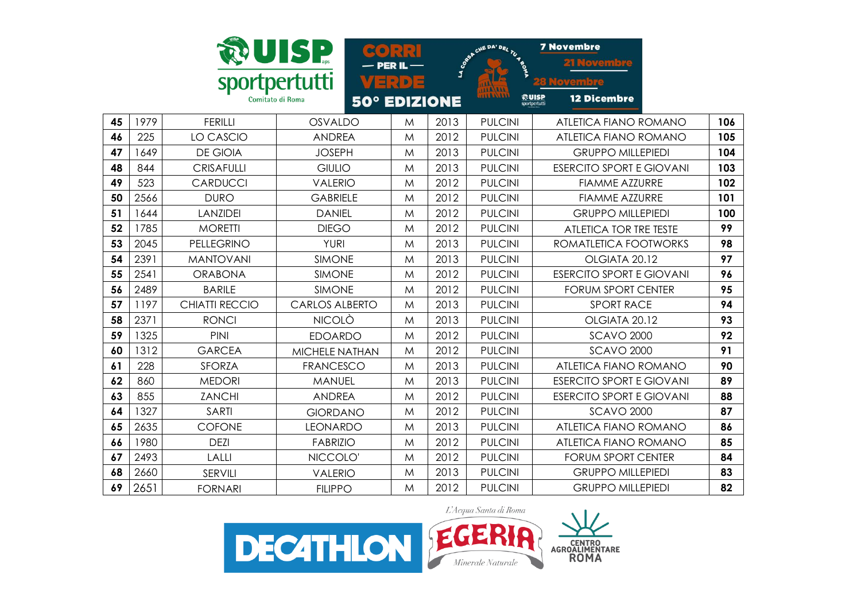|    |      |                       |                                         |       |      |                        | <b>7 Novembre</b>                            |     |
|----|------|-----------------------|-----------------------------------------|-------|------|------------------------|----------------------------------------------|-----|
|    |      |                       | UISP                                    |       |      | <b>S</b> CONSIDER TO M |                                              |     |
|    |      | sportpertutti         |                                         | 비리 D) |      |                        |                                              |     |
|    |      |                       | Comitato di Roma<br><b>50° EDIZIONE</b> |       |      | 11A/111                | おUISP<br><b>12 Dicembre</b><br>sportpertutti |     |
| 45 | 1979 | <b>FERILLI</b>        | <b>OSVALDO</b>                          | M     | 2013 | <b>PULCINI</b>         | ATLETICA FIANO ROMANO                        | 106 |
| 46 | 225  | LO CASCIO             | <b>ANDREA</b>                           | M     | 2012 | <b>PULCINI</b>         | ATLETICA FIANO ROMANO                        | 105 |
| 47 | 1649 | <b>DE GIOIA</b>       | <b>JOSEPH</b>                           | M     | 2013 | <b>PULCINI</b>         | <b>GRUPPO MILLEPIEDI</b>                     | 104 |
| 48 | 844  | <b>CRISAFULLI</b>     | <b>GIULIO</b>                           | M     | 2013 | <b>PULCINI</b>         | <b>ESERCITO SPORT E GIOVANI</b>              | 103 |
| 49 | 523  | CARDUCCI              | <b>VALERIO</b>                          | M     | 2012 | <b>PULCINI</b>         | <b>FIAMME AZZURRE</b>                        | 102 |
| 50 | 2566 | <b>DURO</b>           | <b>GABRIELE</b>                         | M     | 2012 | <b>PULCINI</b>         | <b>FIAMME AZZURRE</b>                        | 101 |
| 51 | 1644 | <b>LANZIDEI</b>       | <b>DANIEL</b>                           | M     | 2012 | <b>PULCINI</b>         | <b>GRUPPO MILLEPIEDI</b>                     | 100 |
| 52 | 1785 | <b>MORETTI</b>        | <b>DIEGO</b>                            | M     | 2012 | <b>PULCINI</b>         | <b>ATLETICA TOR TRE TESTE</b>                | 99  |
| 53 | 2045 | PELLEGRINO            | <b>YURI</b>                             | M     | 2013 | <b>PULCINI</b>         | ROMATLETICA FOOTWORKS                        | 98  |
| 54 | 2391 | <b>MANTOVANI</b>      | <b>SIMONE</b>                           | M     | 2013 | <b>PULCINI</b>         | OLGIATA 20.12                                | 97  |
| 55 | 2541 | <b>ORABONA</b>        | <b>SIMONE</b>                           | M     | 2012 | <b>PULCINI</b>         | <b>ESERCITO SPORT E GIOVANI</b>              | 96  |
| 56 | 2489 | <b>BARILE</b>         | <b>SIMONE</b>                           | M     | 2012 | <b>PULCINI</b>         | <b>FORUM SPORT CENTER</b>                    | 95  |
| 57 | 1197 | <b>CHIATTI RECCIO</b> | <b>CARLOS ALBERTO</b>                   | M     | 2013 | <b>PULCINI</b>         | <b>SPORT RACE</b>                            | 94  |
| 58 | 2371 | <b>RONCI</b>          | <b>NICOLÒ</b>                           | M     | 2013 | <b>PULCINI</b>         | OLGIATA 20.12                                | 93  |
| 59 | 1325 | PINI                  | <b>EDOARDO</b>                          | M     | 2012 | <b>PULCINI</b>         | <b>SCAVO 2000</b>                            | 92  |
| 60 | 1312 | <b>GARCEA</b>         | <b>MICHELE NATHAN</b>                   | M     | 2012 | <b>PULCINI</b>         | <b>SCAVO 2000</b>                            | 91  |
| 61 | 228  | <b>SFORZA</b>         | <b>FRANCESCO</b>                        | M     | 2013 | <b>PULCINI</b>         | <b>ATLETICA FIANO ROMANO</b>                 | 90  |
| 62 | 860  | <b>MEDORI</b>         | <b>MANUEL</b>                           | M     | 2013 | <b>PULCINI</b>         | <b>ESERCITO SPORT E GIOVANI</b>              | 89  |
| 63 | 855  | <b>ZANCHI</b>         | <b>ANDREA</b>                           | M     | 2012 | <b>PULCINI</b>         | <b>ESERCITO SPORT E GIOVANI</b>              | 88  |
| 64 | 1327 | <b>SARTI</b>          | <b>GIORDANO</b>                         | M     | 2012 | <b>PULCINI</b>         | <b>SCAVO 2000</b>                            | 87  |
| 65 | 2635 | <b>COFONE</b>         | <b>LEONARDO</b>                         | M     | 2013 | <b>PULCINI</b>         | ATLETICA FIANO ROMANO                        | 86  |
| 66 | 1980 | <b>DEZI</b>           | <b>FABRIZIO</b>                         | M     | 2012 | <b>PULCINI</b>         | ATLETICA FIANO ROMANO                        | 85  |
| 67 | 2493 | <b>LALLI</b>          | NICCOLO'                                | M     | 2012 | <b>PULCINI</b>         | <b>FORUM SPORT CENTER</b>                    | 84  |
| 68 | 2660 | SERVILI               | <b>VALERIO</b>                          | M     | 2013 | <b>PULCINI</b>         | <b>GRUPPO MILLEPIEDI</b>                     | 83  |
| 69 | 2651 | <b>FORNARI</b>        | <b>FILIPPO</b>                          | M     | 2012 | <b>PULCINI</b>         | <b>GRUPPO MILLEPIEDI</b>                     | 82  |

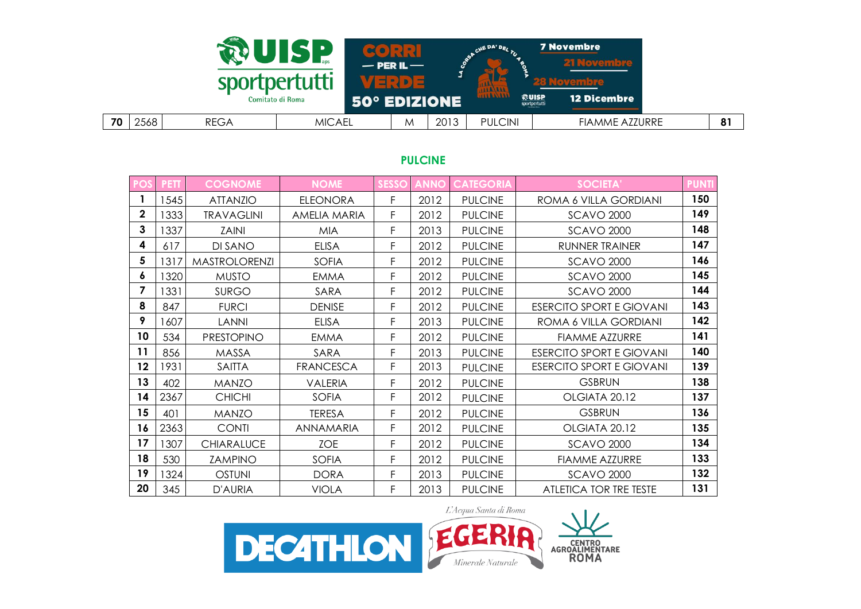

#### **PULCINE**

| <b>POS</b>     | <b>PETT</b> | <b>COGNOME</b>       | <b>NOME</b>         | <b>SESSO</b> | <b>ANNO</b> | <b>CATEGORIA</b> | <b>SOCIETA'</b>                 | <b>PUNTI</b> |
|----------------|-------------|----------------------|---------------------|--------------|-------------|------------------|---------------------------------|--------------|
| 1              | 1545        | <b>ATTANZIO</b>      | <b>ELEONORA</b>     | F            | 2012        | <b>PULCINE</b>   | ROMA 6 VILLA GORDIANI           | 150          |
| $\overline{2}$ | 333         | <b>TRAVAGLINI</b>    | <b>AMELIA MARIA</b> | F            | 2012        | <b>PULCINE</b>   | <b>SCAVO 2000</b>               | 149          |
| 3              | 337         | <b>ZAINI</b>         | <b>MIA</b>          | F            | 2013        | <b>PULCINE</b>   | <b>SCAVO 2000</b>               | 148          |
| 4              | 617         | DI SANO              | <b>ELISA</b>        | F            | 2012        | <b>PULCINE</b>   | RUNNER TRAINER                  | 147          |
| 5              | 1317        | <b>MASTROLORENZI</b> | <b>SOFIA</b>        | F            | 2012        | <b>PULCINE</b>   | <b>SCAVO 2000</b>               | 146          |
| 6              | 320         | <b>MUSTO</b>         | <b>EMMA</b>         | F            | 2012        | <b>PULCINE</b>   | <b>SCAVO 2000</b>               | 145          |
| 7              | 1331        | <b>SURGO</b>         | SARA                | F            | 2012        | <b>PULCINE</b>   | <b>SCAVO 2000</b>               | 144          |
| 8              | 847         | <b>FURCI</b>         | <b>DENISE</b>       | F            | 2012        | <b>PULCINE</b>   | <b>ESERCITO SPORT E GIOVANI</b> | 143          |
| 9              | 1607        | <b>LANNI</b>         | <b>ELISA</b>        | F            | 2013        | <b>PULCINE</b>   | ROMA 6 VILLA GORDIANI           | 142          |
| 10             | 534         | <b>PRESTOPINO</b>    | <b>EMMA</b>         | F            | 2012        | <b>PULCINE</b>   | <b>FIAMME AZZURRE</b>           | 141          |
| 11             | 856         | <b>MASSA</b>         | SARA                | F            | 2013        | <b>PULCINE</b>   | <b>ESERCITO SPORT E GIOVANI</b> | 140          |
| 12             | 1931        | <b>SAITTA</b>        | <b>FRANCESCA</b>    | F            | 2013        | <b>PULCINE</b>   | <b>ESERCITO SPORT E GIOVANI</b> | 139          |
| 13             | 402         | <b>MANZO</b>         | <b>VALERIA</b>      | F            | 2012        | <b>PULCINE</b>   | <b>GSBRUN</b>                   | 138          |
| 14             | 2367        | <b>CHICHI</b>        | <b>SOFIA</b>        | F            | 2012        | <b>PULCINE</b>   | OLGIATA 20.12                   | 137          |
| 15             | 401         | <b>MANZO</b>         | <b>TERESA</b>       | F            | 2012        | <b>PULCINE</b>   | <b>GSBRUN</b>                   | 136          |
| 16             | 2363        | <b>CONTI</b>         | ANNAMARIA           | F            | 2012        | <b>PULCINE</b>   | OLGIATA 20.12                   | 135          |
| 17             | 1307        | <b>CHIARALUCE</b>    | <b>ZOE</b>          | F            | 2012        | <b>PULCINE</b>   | <b>SCAVO 2000</b>               | 134          |
| 18             | 530         | <b>ZAMPINO</b>       | <b>SOFIA</b>        | F            | 2012        | <b>PULCINE</b>   | <b>FIAMME AZZURRE</b>           | 133          |
| 19             | 1324        | <b>OSTUNI</b>        | <b>DORA</b>         | F            | 2013        | <b>PULCINE</b>   | <b>SCAVO 2000</b>               | 132          |
| 20             | 345         | D'AURIA              | <b>VIOLA</b>        | F            | 2013        | <b>PULCINE</b>   | ATLETICA TOR TRE TESTE          | 131          |

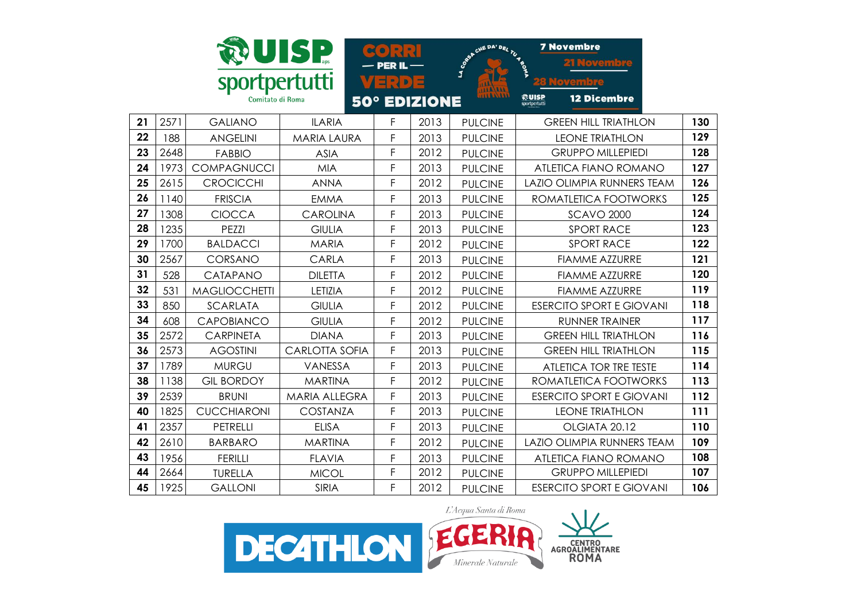|    |      |                      | UISP                  | <b>PER II</b>                          |                     | CHE DA' DEL TU 4 B<br>LA CORES | <b>7 Novembre</b><br><b>21 Noveme</b>        |     |
|----|------|----------------------|-----------------------|----------------------------------------|---------------------|--------------------------------|----------------------------------------------|-----|
|    |      | sportpertutti        |                       | $\exists$ : $\lambda$ $\triangleright$ |                     |                                |                                              |     |
|    |      | Comitato di Roma     |                       |                                        | <b>50° EDIZIONE</b> |                                | ଈuise<br><b>12 Dicembre</b><br>sportpertutti |     |
| 21 | 2571 | <b>GALIANO</b>       | <b>ILARIA</b>         | F                                      | 2013                | <b>PULCINE</b>                 | <b>GREEN HILL TRIATHLON</b>                  | 130 |
| 22 | 188  | <b>ANGELINI</b>      | <b>MARIA LAURA</b>    | F                                      | 2013                | <b>PULCINE</b>                 | <b>LEONE TRIATHLON</b>                       | 129 |
| 23 | 2648 | <b>FABBIO</b>        | <b>ASIA</b>           | F                                      | 2012                | <b>PULCINE</b>                 | <b>GRUPPO MILLEPIEDI</b>                     | 128 |
| 24 | 1973 | <b>COMPAGNUCCI</b>   | <b>MIA</b>            | F                                      | 2013                | <b>PULCINE</b>                 | <b>ATLETICA FIANO ROMANO</b>                 | 127 |
| 25 | 2615 | <b>CROCICCHI</b>     | <b>ANNA</b>           | F                                      | 2012                | <b>PULCINE</b>                 | LAZIO OLIMPIA RUNNERS TEAM                   | 126 |
| 26 | 1140 | <b>FRISCIA</b>       | <b>EMMA</b>           | F                                      | 2013                | <b>PULCINE</b>                 | ROMATLETICA FOOTWORKS                        | 125 |
| 27 | 1308 | <b>CIOCCA</b>        | <b>CAROLINA</b>       | F                                      | 2013                | <b>PULCINE</b>                 | <b>SCAVO 2000</b>                            | 124 |
| 28 | 1235 | PEZZI                | <b>GIULIA</b>         | F                                      | 2013                | <b>PULCINE</b>                 | <b>SPORT RACE</b>                            | 123 |
| 29 | 1700 | <b>BALDACCI</b>      | <b>MARIA</b>          | F                                      | 2012                | <b>PULCINE</b>                 | <b>SPORT RACE</b>                            | 122 |
| 30 | 2567 | CORSANO              | CARLA                 | F                                      | 2013                | <b>PULCINE</b>                 | <b>FIAMME AZZURRE</b>                        | 121 |
| 31 | 528  | CATAPANO             | <b>DILETTA</b>        | F                                      | 2012                | <b>PULCINE</b>                 | <b>FIAMME AZZURRE</b>                        | 120 |
| 32 | 531  | <b>MAGLIOCCHETTI</b> | LETIZIA               | F                                      | 2012                | <b>PULCINE</b>                 | <b>FIAMME AZZURRE</b>                        | 119 |
| 33 | 850  | <b>SCARLATA</b>      | <b>GIULIA</b>         | F                                      | 2012                | <b>PULCINE</b>                 | <b>ESERCITO SPORT E GIOVANI</b>              | 118 |
| 34 | 608  | <b>CAPOBIANCO</b>    | <b>GIULIA</b>         | F                                      | 2012                | <b>PULCINE</b>                 | <b>RUNNER TRAINER</b>                        | 117 |
| 35 | 2572 | <b>CARPINETA</b>     | <b>DIANA</b>          | F                                      | 2013                | <b>PULCINE</b>                 | <b>GREEN HILL TRIATHLON</b>                  | 116 |
| 36 | 2573 | <b>AGOSTINI</b>      | <b>CARLOTTA SOFIA</b> | F                                      | 2013                | <b>PULCINE</b>                 | <b>GREEN HILL TRIATHLON</b>                  | 115 |
| 37 | 1789 | <b>MURGU</b>         | VANESSA               | F                                      | 2013                | <b>PULCINE</b>                 | ATLETICA TOR TRE TESTE                       | 114 |
| 38 | 1138 | <b>GIL BORDOY</b>    | <b>MARTINA</b>        | F                                      | 2012                | <b>PULCINE</b>                 | ROMATLETICA FOOTWORKS                        | 113 |
| 39 | 2539 | <b>BRUNI</b>         | <b>MARIA ALLEGRA</b>  | F                                      | 2013                | <b>PULCINE</b>                 | <b>ESERCITO SPORT E GIOVANI</b>              | 112 |
| 40 | 1825 | <b>CUCCHIARONI</b>   | <b>COSTANZA</b>       | F                                      | 2013                | <b>PULCINE</b>                 | <b>LEONE TRIATHLON</b>                       | 111 |
| 41 | 2357 | <b>PETRELLI</b>      | <b>ELISA</b>          | F                                      | 2013                | <b>PULCINE</b>                 | OLGIATA 20.12                                | 110 |
| 42 | 2610 | <b>BARBARO</b>       | <b>MARTINA</b>        | F                                      | 2012                | <b>PULCINE</b>                 | LAZIO OLIMPIA RUNNERS TEAM                   | 109 |
| 43 | 1956 | <b>FERILLI</b>       | <b>FLAVIA</b>         | F                                      | 2013                | <b>PULCINE</b>                 | ATLETICA FIANO ROMANO                        | 108 |
| 44 | 2664 | <b>TURELLA</b>       | <b>MICOL</b>          | F                                      | 2012                | <b>PULCINE</b>                 | <b>GRUPPO MILLEPIEDI</b>                     | 107 |
| 45 | 1925 | <b>GALLONI</b>       | <b>SIRIA</b>          | F                                      | 2012                | <b>PULCINE</b>                 | <b>ESERCITO SPORT E GIOVANI</b>              | 106 |

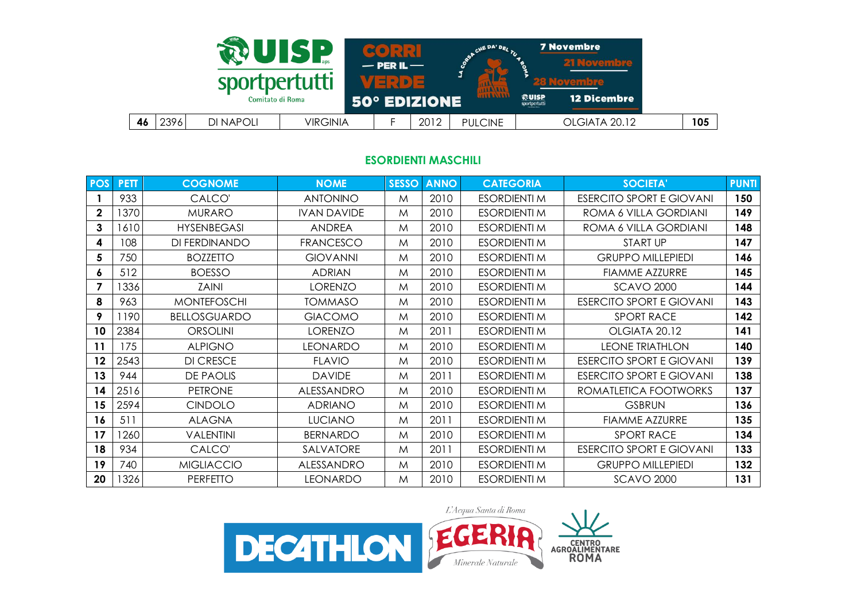| sportpertutti           | UISP            | $-$ PER IL $-$      |      | CHE DA' DEL<br>а |                                | <b>7 Novembre</b><br><b>21 Novembre</b> |     |
|-------------------------|-----------------|---------------------|------|------------------|--------------------------------|-----------------------------------------|-----|
| Comitato di Roma        |                 | <b>50° EDIZIONE</b> |      | <b>MALANT</b>    | <b>ROUISP</b><br>sportpertutti | <b>12 Dicembre</b>                      |     |
| 46<br>2396<br>DI NAPOLI | <b>VIRGINIA</b> |                     | 2012 | <b>PULCINE</b>   |                                | OLGIATA 20.12                           | 105 |

#### **ESORDIENTI MASCHILI**

| <b>POS</b>   | <b>PETT</b> | <b>COGNOME</b>      | <b>NOME</b>        | <b>SESSO</b> | <b>ANNO</b> | <b>CATEGORIA</b>    | <b>SOCIETA</b>                  | <b>PUNTI</b> |
|--------------|-------------|---------------------|--------------------|--------------|-------------|---------------------|---------------------------------|--------------|
|              | 933         | CALCO'              | <b>ANTONINO</b>    | M            | 2010        | ESORDIENTI M        | <b>ESERCITO SPORT E GIOVANI</b> | 150          |
| $\mathbf{2}$ | 1370        | <b>MURARO</b>       | <b>IVAN DAVIDE</b> | M            | 2010        | <b>ESORDIENTI M</b> | ROMA 6 VILLA GORDIANI           | 149          |
| 3            | 1610        | <b>HYSENBEGASI</b>  | <b>ANDREA</b>      | M            | 2010        | <b>ESORDIENTI M</b> | ROMA 6 VILLA GORDIANI           | 148          |
| 4            | 108         | DI FERDINANDO       | <b>FRANCESCO</b>   | M            | 2010        | <b>ESORDIENTI M</b> | <b>START UP</b>                 | 147          |
| 5            | 750         | <b>BOZZETTO</b>     | <b>GIOVANNI</b>    | M            | 2010        | <b>ESORDIENTI M</b> | <b>GRUPPO MILLEPIEDI</b>        | 146          |
| 6            | 512         | <b>BOESSO</b>       | <b>ADRIAN</b>      | M            | 2010        | <b>ESORDIENTI M</b> | <b>FIAMME AZZURRE</b>           | 145          |
|              | 1336        | <b>ZAINI</b>        | <b>LORENZO</b>     | M            | 2010        | <b>ESORDIENTI M</b> | <b>SCAVO 2000</b>               | 144          |
| 8            | 963         | <b>MONTEFOSCHI</b>  | <b>TOMMASO</b>     | M            | 2010        | <b>ESORDIENTI M</b> | <b>ESERCITO SPORT E GIOVANI</b> | 143          |
| 9            | 1190        | <b>BELLOSGUARDO</b> | <b>GIACOMO</b>     | M            | 2010        | <b>ESORDIENTI M</b> | <b>SPORT RACE</b>               | 142          |
| 10           | 2384        | <b>ORSOLINI</b>     | <b>LORENZO</b>     | M            | 2011        | <b>ESORDIENTI M</b> | OLGIATA 20.12                   | 141          |
| 11           | 175         | <b>ALPIGNO</b>      | <b>LEONARDO</b>    | M            | 2010        | <b>ESORDIENTI M</b> | <b>LEONE TRIATHLON</b>          | 140          |
| $12 \,$      | 2543        | <b>DI CRESCE</b>    | <b>FLAVIO</b>      | M            | 2010        | <b>ESORDIENTI M</b> | <b>ESERCITO SPORT E GIOVANI</b> | 139          |
| 13           | 944         | DE PAOLIS           | <b>DAVIDE</b>      | M            | 2011        | <b>ESORDIENTI M</b> | <b>ESERCITO SPORT E GIOVANI</b> | 138          |
| 14           | 2516        | <b>PETRONE</b>      | ALESSANDRO         | M            | 2010        | <b>ESORDIENTI M</b> | ROMATLETICA FOOTWORKS           | 137          |
| 15           | 2594        | <b>CINDOLO</b>      | <b>ADRIANO</b>     | M            | 2010        | <b>ESORDIENTI M</b> | <b>GSBRUN</b>                   | 136          |
| 16           | 511         | <b>ALAGNA</b>       | <b>LUCIANO</b>     | M            | 2011        | <b>ESORDIENTI M</b> | <b>FIAMME AZZURRE</b>           | 135          |
| 17           | 1260        | <b>VALENTINI</b>    | <b>BERNARDO</b>    | M            | 2010        | <b>ESORDIENTI M</b> | <b>SPORT RACE</b>               | 134          |
| 18           | 934         | CALCO'              | SALVATORE          | M            | 2011        | <b>ESORDIENTI M</b> | <b>ESERCITO SPORT E GIOVANI</b> | 133          |
| 19           | 740         | <b>MIGLIACCIO</b>   | ALESSANDRO         | M            | 2010        | <b>ESORDIENTI M</b> | <b>GRUPPO MILLEPIEDI</b>        | 132          |
| 20           | 1326        | <b>PERFEITO</b>     | LEONARDO           | M            | 2010        | <b>ESORDIENTI M</b> | <b>SCAVO 2000</b>               | 131          |

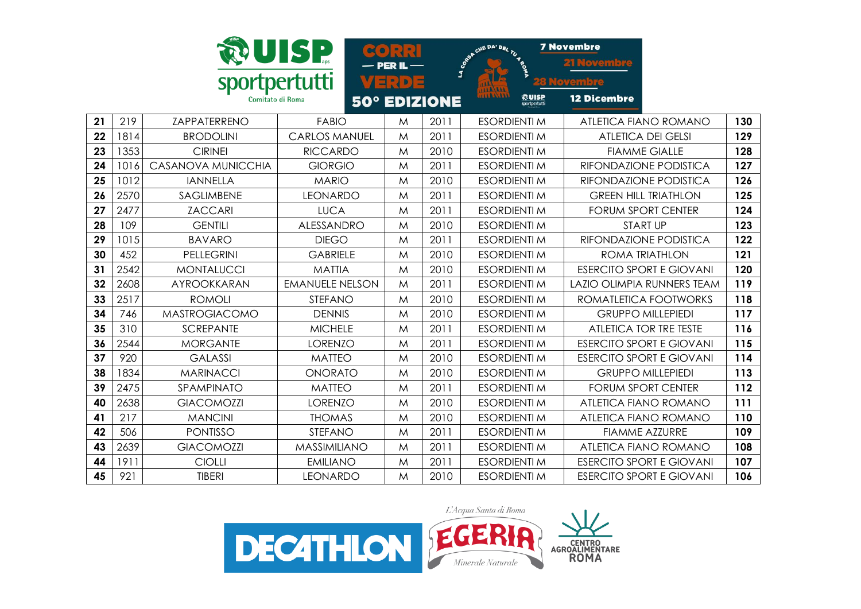|    |      |                      | UISP                   | $\bullet$ $\bullet$ $\cdot$ $\cdot$ $\cdot$ $\cdot$ |                     | CHE DA' DEL TU 45      | <b>7 Novembre</b>               |     |
|----|------|----------------------|------------------------|-----------------------------------------------------|---------------------|------------------------|---------------------------------|-----|
|    |      |                      |                        | - PER IL                                            | LA CORPS            |                        |                                 |     |
|    |      | sportpertutti        |                        | VERDE                                               |                     |                        |                                 |     |
|    |      | Comitato di Roma     |                        |                                                     | <b>50° EDIZIONE</b> | 熱UISP<br>sportpertutti | <b>12 Dicembre</b>              |     |
| 21 | 219  | ZAPPATERRENO         | <b>FABIO</b>           | M                                                   | 2011                | <b>ESORDIENTI M</b>    | ATLETICA FIANO ROMANO           | 130 |
| 22 | 1814 | <b>BRODOLINI</b>     | <b>CARLOS MANUEL</b>   | M                                                   | 2011                | <b>ESORDIENTI M</b>    | <b>ATLETICA DEI GELSI</b>       | 129 |
| 23 | 1353 | <b>CIRINEI</b>       | <b>RICCARDO</b>        | M                                                   | 2010                | <b>ESORDIENTI M</b>    | <b>FIAMME GIALLE</b>            | 128 |
| 24 | 1016 | CASANOVA MUNICCHIA   | <b>GIORGIO</b>         | M                                                   | 2011                | <b>ESORDIENTI M</b>    | RIFONDAZIONE PODISTICA          | 127 |
| 25 | 1012 | <b>IANNELLA</b>      | <b>MARIO</b>           | M                                                   | 2010                | <b>ESORDIENTI M</b>    | RIFONDAZIONE PODISTICA          | 126 |
| 26 | 2570 | <b>SAGLIMBENE</b>    | <b>LEONARDO</b>        | M                                                   | 2011                | <b>ESORDIENTI M</b>    | <b>GREEN HILL TRIATHLON</b>     | 125 |
| 27 | 2477 | <b>ZACCARI</b>       | <b>LUCA</b>            | M                                                   | 2011                | <b>ESORDIENTI M</b>    | <b>FORUM SPORT CENTER</b>       | 124 |
| 28 | 109  | <b>GENTILI</b>       | ALESSANDRO             | M                                                   | 2010                | <b>ESORDIENTI M</b>    | <b>START UP</b>                 | 123 |
| 29 | 1015 | <b>BAVARO</b>        | <b>DIEGO</b>           | M                                                   | 2011                | <b>ESORDIENTI M</b>    | RIFONDAZIONE PODISTICA          | 122 |
| 30 | 452  | <b>PELLEGRINI</b>    | <b>GABRIELE</b>        | M                                                   | 2010                | <b>ESORDIENTI M</b>    | <b>ROMA TRIATHLON</b>           | 121 |
| 31 | 2542 | <b>MONTALUCCI</b>    | <b>MATTIA</b>          | M                                                   | 2010                | <b>ESORDIENTI M</b>    | <b>ESERCITO SPORT E GIOVANI</b> | 120 |
| 32 | 2608 | AYROOKKARAN          | <b>EMANUELE NELSON</b> | M                                                   | 2011                | <b>ESORDIENTI M</b>    | LAZIO OLIMPIA RUNNERS TEAM      | 119 |
| 33 | 2517 | <b>ROMOLI</b>        | <b>STEFANO</b>         | M                                                   | 2010                | <b>ESORDIENTI M</b>    | ROMATLETICA FOOTWORKS           | 118 |
| 34 | 746  | <b>MASTROGIACOMO</b> | <b>DENNIS</b>          | M                                                   | 2010                | <b>ESORDIENTI M</b>    | <b>GRUPPO MILLEPIEDI</b>        | 117 |
| 35 | 310  | <b>SCREPANTE</b>     | <b>MICHELE</b>         | M                                                   | 2011                | <b>ESORDIENTI M</b>    | <b>ATLETICA TOR TRE TESTE</b>   | 116 |
| 36 | 2544 | <b>MORGANTE</b>      | <b>LORENZO</b>         | M                                                   | 2011                | <b>ESORDIENTI M</b>    | <b>ESERCITO SPORT E GIOVANI</b> | 115 |
| 37 | 920  | <b>GALASSI</b>       | <b>MATTEO</b>          | M                                                   | 2010                | <b>ESORDIENTI M</b>    | <b>ESERCITO SPORT E GIOVANI</b> | 114 |
| 38 | 1834 | <b>MARINACCI</b>     | <b>ONORATO</b>         | M                                                   | 2010                | <b>ESORDIENTI M</b>    | <b>GRUPPO MILLEPIEDI</b>        | 113 |
| 39 | 2475 | SPAMPINATO           | <b>MATTEO</b>          | M                                                   | 2011                | <b>ESORDIENTI M</b>    | <b>FORUM SPORT CENTER</b>       | 112 |
| 40 | 2638 | <b>GIACOMOZZI</b>    | <b>LORENZO</b>         | M                                                   | 2010                | <b>ESORDIENTI M</b>    | <b>ATLETICA FIANO ROMANO</b>    | 111 |
| 41 | 217  | <b>MANCINI</b>       | <b>THOMAS</b>          | M                                                   | 2010                | <b>ESORDIENTI M</b>    | ATLETICA FIANO ROMANO           | 110 |
| 42 | 506  | <b>PONTISSO</b>      | STEFANO                | M                                                   | 2011                | <b>ESORDIENTI M</b>    | <b>FIAMME AZZURRE</b>           | 109 |
| 43 | 2639 | <b>GIACOMOZZI</b>    | <b>MASSIMILIANO</b>    | M                                                   | 2011                | <b>ESORDIENTI M</b>    | ATLETICA FIANO ROMANO           | 108 |
| 44 | 1911 | <b>CIOLLI</b>        | <b>EMILIANO</b>        | M                                                   | 2011                | <b>ESORDIENTI M</b>    | <b>ESERCITO SPORT E GIOVANI</b> | 107 |
| 45 | 921  | <b>TIBERI</b>        | <b>LEONARDO</b>        | M                                                   | 2010                | <b>ESORDIENTI M</b>    | <b>ESERCITO SPORT E GIOVANI</b> | 106 |

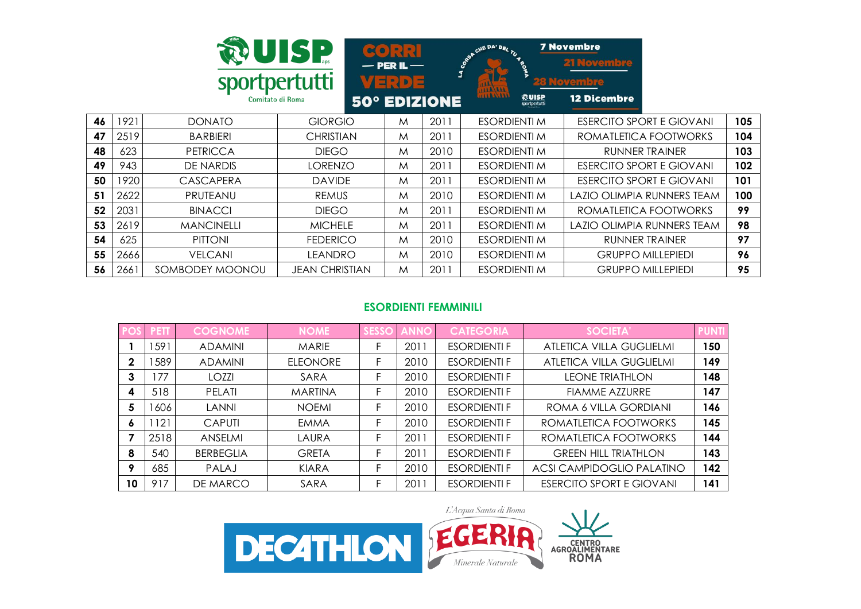|    |      | sportpertutti<br>Comitato di Roma | <b>RUISP</b>     | $\left[ 3 \right]$ : $\left[ 1 \right]$<br>$-$ PER IL $-$<br>VE : 0 3 | <b>50° EDIZIONE</b> | CHE DA' DEL TU<br>LA CO <sub>RS</sub><br>THE<br>1183311<br><b>ROUISP</b> | <b>7 Novembre</b><br><b>21 Novembre</b><br>zu Novembre<br><b>12 Dicembre</b> |     |
|----|------|-----------------------------------|------------------|-----------------------------------------------------------------------|---------------------|--------------------------------------------------------------------------|------------------------------------------------------------------------------|-----|
| 46 | 1921 | <b>DONATO</b>                     | <b>GIORGIO</b>   | M                                                                     | 2011                | <b>ESORDIENTI M</b>                                                      | <b>ESERCITO SPORT E GIOVANI</b>                                              | 105 |
| 47 | 2519 | <b>BARBIERI</b>                   | <b>CHRISTIAN</b> | M                                                                     | 2011                | <b>ESORDIENTI M</b>                                                      | ROMATLETICA FOOTWORKS                                                        | 104 |
| 48 | 623  | <b>PETRICCA</b>                   | <b>DIEGO</b>     | M                                                                     | 2010                | ESORDIENTI M                                                             | RUNNER TRAINER                                                               | 103 |
| 49 | 943  | DE NARDIS                         | <b>LORENZO</b>   | M                                                                     | 2011                | <b>ESORDIENTI M</b>                                                      | <b>ESERCITO SPORT E GIOVANI</b>                                              | 102 |
| 50 | 1920 | <b>CASCAPERA</b>                  | <b>DAVIDE</b>    | M                                                                     | 2011                | <b>ESORDIENTI M</b>                                                      | <b>ESERCITO SPORT E GIOVANI</b>                                              | 101 |
| 51 | 2622 | PRUTEANU                          | <b>REMUS</b>     | M                                                                     | 2010                | ESORDIENTI M                                                             | LAZIO OLIMPIA RUNNERS TEAM                                                   | 100 |
| 52 | 2031 | <b>BINACCI</b>                    | <b>DIEGO</b>     | M                                                                     | 2011                | <b>ESORDIENTI M</b>                                                      | ROMATLETICA FOOTWORKS                                                        | 99  |
| 53 | 2619 | <b>MANCINELLI</b>                 | <b>MICHELE</b>   | M                                                                     | 2011                | ESORDIENTI M                                                             | LAZIO OLIMPIA RUNNERS TEAM                                                   | 98  |
| 54 | 625  | <b>PITTONI</b>                    | <b>FEDERICO</b>  | M                                                                     | 2010                | <b>ESORDIENTI M</b>                                                      | RUNNER TRAINER                                                               | 97  |
| 55 | 2666 | <b>VELCANI</b>                    | LEANDRO          | M                                                                     | 2010                | <b>ESORDIENTI M</b>                                                      | <b>GRUPPO MILLEPIEDI</b>                                                     | 96  |
| 56 | 2661 | SOMBODEY MOONOU                   | JEAN CHRISTIAN   | M                                                                     | 2011                | <b>ESORDIENTI M</b>                                                      | <b>GRUPPO MILLEPIEDI</b>                                                     | 95  |

# **ESORDIENTI FEMMINILI**

|             | <b>PETT</b> | <b>COGNOME</b>   | <b>NOME</b>     | <b>SESSO</b> | <b>ANN</b> | <b>CATEGORIA</b>    | <b>SOCIETA'</b>                 | <b>PUNT</b> |
|-------------|-------------|------------------|-----------------|--------------|------------|---------------------|---------------------------------|-------------|
|             | 1591        | <b>ADAMINI</b>   | <b>MARIE</b>    |              | 2011       | <b>ESORDIENTI F</b> | <b>ATLETICA VILLA GUGLIELMI</b> | 150         |
| $\mathbf 2$ | 589         | <b>ADAMINI</b>   | <b>ELEONORE</b> |              | 2010       | <b>ESORDIENTI F</b> | ATLETICA VILLA GUGLIELMI        | 149         |
| 3           | 77          | LOZZI            | SARA            |              | 2010       | <b>ESORDIENTI F</b> | <b>LEONE TRIATHLON</b>          | 148         |
| 4           | 518         | PELATI           | <b>MARTINA</b>  |              | 2010       | <b>ESORDIENTI F</b> | <b>FIAMME AZZURRE</b>           | 147         |
| 5           | 1606        | <b>LANNI</b>     | <b>NOEMI</b>    |              | 2010       | <b>ESORDIENTI F</b> | ROMA 6 VILLA GORDIANI           | 146         |
| ۰           | 121         | <b>CAPUTI</b>    | <b>EMMA</b>     |              | 2010       | <b>ESORDIENTI F</b> | ROMATLETICA FOOTWORKS           | 145         |
|             | 2518        | <b>ANSELMI</b>   | LAURA           |              | 2011       | <b>ESORDIENTI F</b> | ROMATLETICA FOOTWORKS           | 144         |
| 8           | 540         | <b>BERBEGLIA</b> | <b>GRETA</b>    | F.           | 2011       | <b>ESORDIENTI F</b> | <b>GREEN HILL TRIATHLON</b>     | 143         |
| 9           | 685         | <b>PALAJ</b>     | KIARA           | н.           | 2010       | <b>ESORDIENTI F</b> | ACSI CAMPIDOGLIO PALATINO       | 142         |
| 10          | 917         | DE MARCO         | SARA            | E            | 2011       | <b>ESORDIENTI F</b> | <b>ESERCITO SPORT E GIOVANI</b> | 141         |

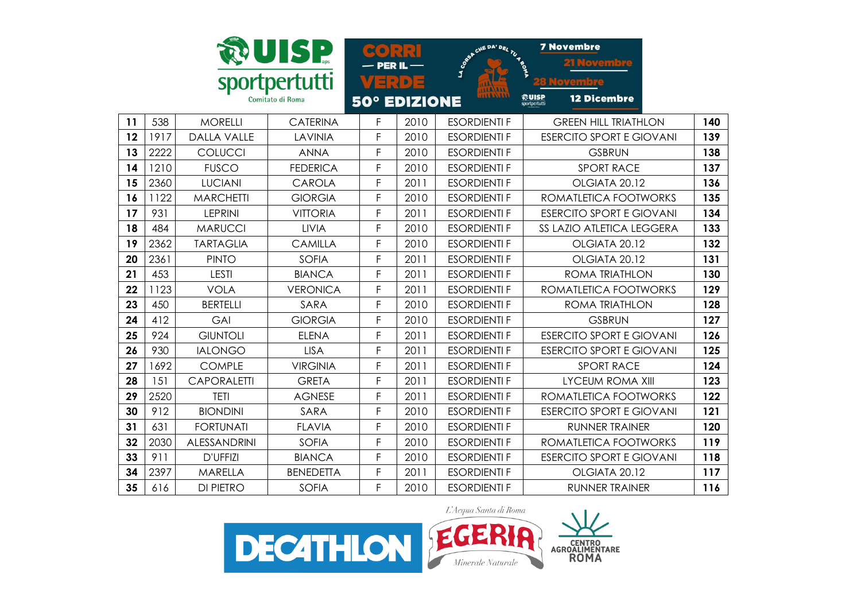|    |      |                    | UISP.                             | <b>PERIL</b>                           |      | <b>SPORT CHE DAY DEL TU RD</b> | <b>7 Novembre</b><br><b>21 Noveme</b>        |     |
|----|------|--------------------|-----------------------------------|----------------------------------------|------|--------------------------------|----------------------------------------------|-----|
|    |      |                    | sportpertutti<br>Comitato di Roma | $\exists$ : $\exists$ $\triangleright$ |      |                                | <u>елпе к</u><br>ଈuisp<br><b>12 Dicembre</b> |     |
|    |      |                    |                                   | <b>50° EDIZIONE</b>                    |      |                                | sportpertutti                                |     |
| 11 | 538  | <b>MORELLI</b>     | <b>CATERINA</b>                   | F                                      | 2010 | <b>ESORDIENTI F</b>            | <b>GREEN HILL TRIATHLON</b>                  | 140 |
| 12 | 1917 | <b>DALLA VALLE</b> | LAVINIA                           | F                                      | 2010 | <b>ESORDIENTI F</b>            | <b>ESERCITO SPORT E GIOVANI</b>              | 139 |
| 13 | 2222 | COLUCCI            | <b>ANNA</b>                       | F                                      | 2010 | <b>ESORDIENTI F</b>            | <b>GSBRUN</b>                                | 138 |
| 14 | 1210 | <b>FUSCO</b>       | <b>FEDERICA</b>                   | F                                      | 2010 | <b>ESORDIENTI F</b>            | <b>SPORT RACE</b>                            | 137 |
| 15 | 2360 | <b>LUCIANI</b>     | <b>CAROLA</b>                     | F                                      | 2011 | <b>ESORDIENTI F</b>            | OLGIATA 20.12                                | 136 |
| 16 | 1122 | <b>MARCHETTI</b>   | <b>GIORGIA</b>                    | F                                      | 2010 | <b>ESORDIENTI F</b>            | ROMATLETICA FOOTWORKS                        | 135 |
| 17 | 931  | <b>LEPRINI</b>     | <b>VITTORIA</b>                   | F                                      | 2011 | <b>ESORDIENTI F</b>            | <b>ESERCITO SPORT E GIOVANI</b>              | 134 |
| 18 | 484  | <b>MARUCCI</b>     | <b>LIVIA</b>                      | F                                      | 2010 | <b>ESORDIENTI F</b>            | SS LAZIO ATLETICA LEGGERA                    | 133 |
| 19 | 2362 | <b>TARTAGLIA</b>   | <b>CAMILLA</b>                    | F                                      | 2010 | <b>ESORDIENTI F</b>            | OLGIATA 20.12                                | 132 |
| 20 | 2361 | <b>PINTO</b>       | <b>SOFIA</b>                      | F                                      | 2011 | <b>ESORDIENTI F</b>            | OLGIATA 20.12                                | 131 |
| 21 | 453  | LESTI              | <b>BIANCA</b>                     | F                                      | 2011 | <b>ESORDIENTI F</b>            | <b>ROMA TRIATHLON</b>                        | 130 |
| 22 | 1123 | <b>VOLA</b>        | <b>VERONICA</b>                   | F                                      | 2011 | <b>ESORDIENTI F</b>            | ROMATLETICA FOOTWORKS                        | 129 |
| 23 | 450  | <b>BERTELLI</b>    | SARA                              | F                                      | 2010 | <b>ESORDIENTI F</b>            | <b>ROMA TRIATHLON</b>                        | 128 |
| 24 | 412  | GAI                | <b>GIORGIA</b>                    | F                                      | 2010 | <b>ESORDIENTI F</b>            | <b>GSBRUN</b>                                | 127 |
| 25 | 924  | <b>GIUNTOLI</b>    | <b>ELENA</b>                      | F                                      | 2011 | <b>ESORDIENTI F</b>            | <b>ESERCITO SPORT E GIOVANI</b>              | 126 |
| 26 | 930  | <b>IALONGO</b>     | <b>LISA</b>                       | F                                      | 2011 | <b>ESORDIENTI F</b>            | <b>ESERCITO SPORT E GIOVANI</b>              | 125 |
| 27 | 1692 | <b>COMPLE</b>      | <b>VIRGINIA</b>                   | F                                      | 2011 | <b>ESORDIENTI F</b>            | <b>SPORT RACE</b>                            | 124 |
| 28 | 151  | <b>CAPORALETTI</b> | <b>GRETA</b>                      | F                                      | 2011 | <b>ESORDIENTI F</b>            | <b>LYCEUM ROMA XIII</b>                      | 123 |
| 29 | 2520 | <b>TETI</b>        | <b>AGNESE</b>                     | F                                      | 2011 | <b>ESORDIENTI F</b>            | ROMATLETICA FOOTWORKS                        | 122 |
| 30 | 912  | <b>BIONDINI</b>    | SARA                              | F                                      | 2010 | <b>ESORDIENTI F</b>            | <b>ESERCITO SPORT E GIOVANI</b>              | 121 |
| 31 | 631  | <b>FORTUNATI</b>   | <b>FLAVIA</b>                     | F                                      | 2010 | <b>ESORDIENTI F</b>            | <b>RUNNER TRAINER</b>                        | 120 |
| 32 | 2030 | ALESSANDRINI       | <b>SOFIA</b>                      | F                                      | 2010 | <b>ESORDIENTI F</b>            | ROMATLETICA FOOTWORKS                        | 119 |
| 33 | 911  | <b>D'UFFIZI</b>    | <b>BIANCA</b>                     | F                                      | 2010 | <b>ESORDIENTI F</b>            | <b>ESERCITO SPORT E GIOVANI</b>              | 118 |
| 34 | 2397 | MARELLA            | <b>BENEDETTA</b>                  | F                                      | 2011 | <b>ESORDIENTI F</b>            | OLGIATA 20.12                                | 117 |
| 35 | 616  | <b>DI PIETRO</b>   | <b>SOFIA</b>                      | F                                      | 2010 | <b>ESORDIENTI F</b>            | <b>RUNNER TRAINER</b>                        | 116 |

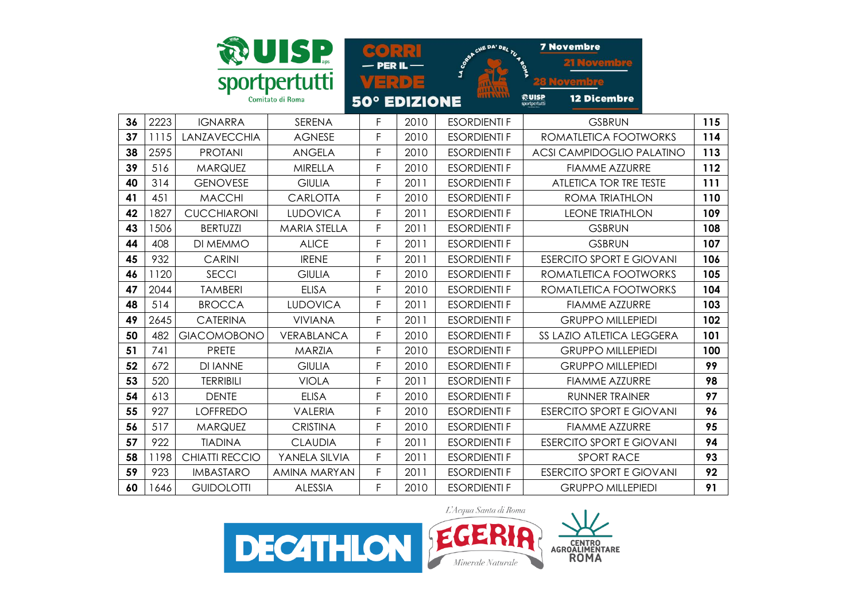|    |      |                    | UISP                              |   |                     | <b>S</b> SeA CHE DA' DEL TU AS | <b>7 Novembre</b><br><b>NOVEM</b> |     |
|----|------|--------------------|-----------------------------------|---|---------------------|--------------------------------|-----------------------------------|-----|
|    |      |                    | sportpertutti<br>Comitato di Roma |   | VERDE               |                                | <b>12 Dicembre</b>                |     |
|    |      |                    |                                   |   | <b>50° EDIZIONE</b> |                                | <b>ROUISP</b><br>sportpertutti    |     |
| 36 | 2223 | <b>IGNARRA</b>     | SERENA                            | F | 2010                | <b>ESORDIENTI F</b>            | <b>GSBRUN</b>                     | 115 |
| 37 | 1115 | LANZAVECCHIA       | <b>AGNESE</b>                     | F | 2010                | <b>ESORDIENTI F</b>            | ROMATLETICA FOOTWORKS             | 114 |
| 38 | 2595 | <b>PROTANI</b>     | <b>ANGELA</b>                     | F | 2010                | <b>ESORDIENTI F</b>            | <b>ACSI CAMPIDOGLIO PALATINO</b>  | 113 |
| 39 | 516  | <b>MARQUEZ</b>     | <b>MIRELLA</b>                    | F | 2010                | <b>ESORDIENTI F</b>            | <b>FIAMME AZZURRE</b>             | 112 |
| 40 | 314  | <b>GENOVESE</b>    | <b>GIULIA</b>                     | F | 2011                | <b>ESORDIENTI F</b>            | ATLETICA TOR TRE TESTE            | 111 |
| 41 | 451  | <b>MACCHI</b>      | <b>CARLOTTA</b>                   | F | 2010                | <b>ESORDIENTI F</b>            | <b>ROMA TRIATHLON</b>             | 110 |
| 42 | 1827 | <b>CUCCHIARONI</b> | <b>LUDOVICA</b>                   | F | 2011                | <b>ESORDIENTI F</b>            | <b>LEONE TRIATHLON</b>            | 109 |
| 43 | 1506 | <b>BERTUZZI</b>    | <b>MARIA STELLA</b>               | F | 2011                | <b>ESORDIENTI F</b>            | <b>GSBRUN</b>                     | 108 |
| 44 | 408  | DI MEMMO           | <b>ALICE</b>                      | F | 2011                | <b>ESORDIENTI F</b>            | <b>GSBRUN</b>                     | 107 |
| 45 | 932  | <b>CARINI</b>      | <b>IRENE</b>                      | F | 2011                | <b>ESORDIENTI F</b>            | <b>ESERCITO SPORT E GIOVANI</b>   | 106 |
| 46 | 1120 | <b>SECCI</b>       | <b>GIULIA</b>                     | F | 2010                | <b>ESORDIENTI F</b>            | ROMATLETICA FOOTWORKS             | 105 |
| 47 | 2044 | <b>TAMBERI</b>     | <b>ELISA</b>                      | F | 2010                | <b>ESORDIENTI F</b>            | ROMATLETICA FOOTWORKS             | 104 |
| 48 | 514  | <b>BROCCA</b>      | <b>LUDOVICA</b>                   | F | 2011                | <b>ESORDIENTI F</b>            | <b>FIAMME AZZURRE</b>             | 103 |
| 49 | 2645 | <b>CATERINA</b>    | <b>VIVIANA</b>                    | F | 2011                | <b>ESORDIENTI F</b>            | <b>GRUPPO MILLEPIEDI</b>          | 102 |
| 50 | 482  | <b>GIACOMOBONO</b> | VERABLANCA                        | F | 2010                | <b>ESORDIENTI F</b>            | SS LAZIO ATLETICA LEGGERA         | 101 |
| 51 | 741  | <b>PRETE</b>       | <b>MARZIA</b>                     | F | 2010                | <b>ESORDIENTI F</b>            | <b>GRUPPO MILLEPIEDI</b>          | 100 |
| 52 | 672  | <b>DI IANNE</b>    | <b>GIULIA</b>                     | F | 2010                | <b>ESORDIENTI F</b>            | <b>GRUPPO MILLEPIEDI</b>          | 99  |
| 53 | 520  | <b>TERRIBILI</b>   | <b>VIOLA</b>                      | F | 2011                | <b>ESORDIENTI F</b>            | <b>FIAMME AZZURRE</b>             | 98  |
| 54 | 613  | <b>DENTE</b>       | <b>ELISA</b>                      | F | 2010                | <b>ESORDIENTI F</b>            | <b>RUNNER TRAINER</b>             | 97  |
| 55 | 927  | <b>LOFFREDO</b>    | <b>VALERIA</b>                    | F | 2010                | <b>ESORDIENTI F</b>            | <b>ESERCITO SPORT E GIOVANI</b>   | 96  |
| 56 | 517  | <b>MARQUEZ</b>     | <b>CRISTINA</b>                   | F | 2010                | <b>ESORDIENTI F</b>            | <b>FIAMME AZZURRE</b>             | 95  |
| 57 | 922  | <b>TIADINA</b>     | <b>CLAUDIA</b>                    | F | 2011                | <b>ESORDIENTI F</b>            | <b>ESERCITO SPORT E GIOVANI</b>   | 94  |
| 58 | 1198 | CHIATTI RECCIO     | YANELA SILVIA                     | F | 2011                | <b>ESORDIENTI F</b>            | <b>SPORT RACE</b>                 | 93  |
| 59 | 923  | <b>IMBASTARO</b>   | <b>AMINA MARYAN</b>               | F | 2011                | <b>ESORDIENTI F</b>            | <b>ESERCITO SPORT E GIOVANI</b>   | 92  |
| 60 | 1646 | <b>GUIDOLOTTI</b>  | <b>ALESSIA</b>                    | F | 2010                | <b>ESORDIENTI F</b>            | <b>GRUPPO MILLEPIEDI</b>          | 91  |